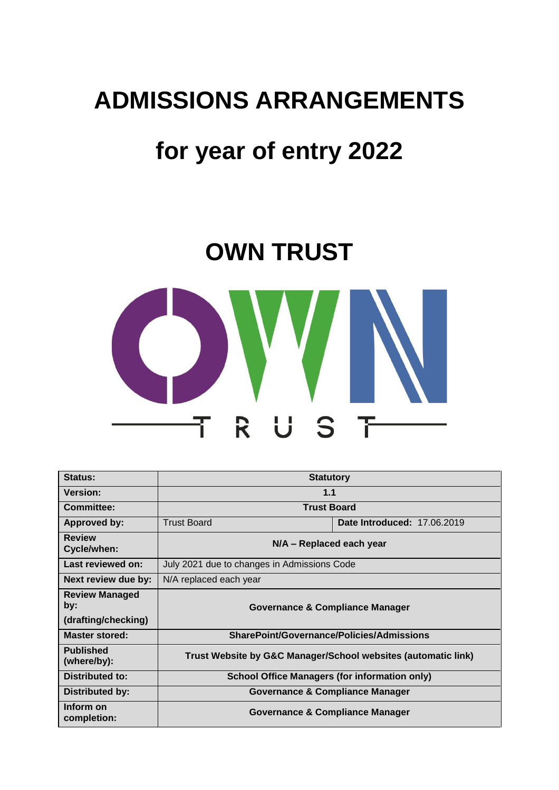## **ADMISSIONS ARRANGEMENTS**

# **for year of entry 2022**

# **OWN TRUST**



| Status:                                             | <b>Statutory</b>                                              |                                    |  |
|-----------------------------------------------------|---------------------------------------------------------------|------------------------------------|--|
| <b>Version:</b>                                     | 1.1                                                           |                                    |  |
| <b>Committee:</b>                                   | <b>Trust Board</b>                                            |                                    |  |
| Approved by:                                        | <b>Trust Board</b>                                            | <b>Date Introduced: 17.06.2019</b> |  |
| <b>Review</b><br>Cycle/when:                        | $N/A$ – Replaced each year                                    |                                    |  |
| Last reviewed on:                                   | July 2021 due to changes in Admissions Code                   |                                    |  |
| Next review due by:                                 | N/A replaced each year                                        |                                    |  |
| <b>Review Managed</b><br>by:<br>(drafting/checking) | Governance & Compliance Manager                               |                                    |  |
| <b>Master stored:</b>                               | SharePoint/Governance/Policies/Admissions                     |                                    |  |
| <b>Published</b><br>(where/by):                     | Trust Website by G&C Manager/School websites (automatic link) |                                    |  |
| <b>Distributed to:</b>                              | <b>School Office Managers (for information only)</b>          |                                    |  |
| Distributed by:                                     | Governance & Compliance Manager                               |                                    |  |
| Inform on<br>completion:                            | Governance & Compliance Manager                               |                                    |  |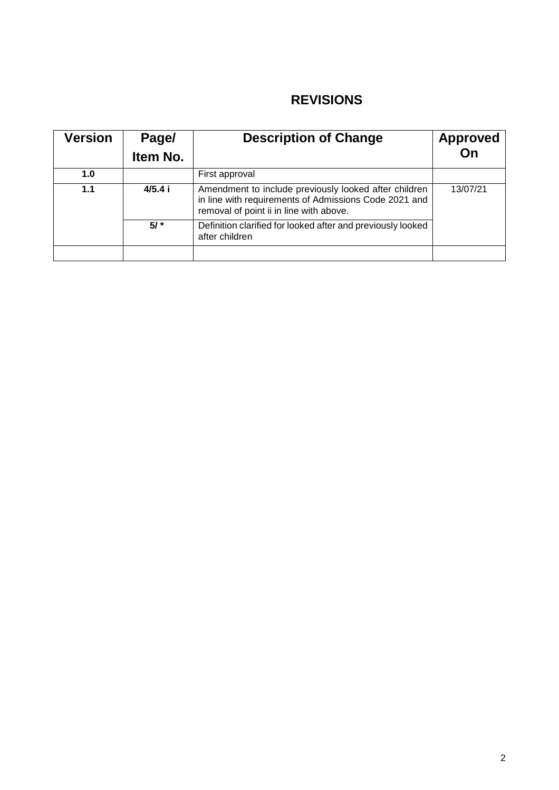## **REVISIONS**

| <b>Version</b> | Page/<br>Item No. | <b>Description of Change</b>                                                                                                                              | Approved<br>On |
|----------------|-------------------|-----------------------------------------------------------------------------------------------------------------------------------------------------------|----------------|
| 1.0            |                   | First approval                                                                                                                                            |                |
| 1.1            | 4/5.4i            | Amendment to include previously looked after children<br>in line with requirements of Admissions Code 2021 and<br>removal of point ii in line with above. | 13/07/21       |
|                | $5/$ *            | Definition clarified for looked after and previously looked<br>after children                                                                             |                |
|                |                   |                                                                                                                                                           |                |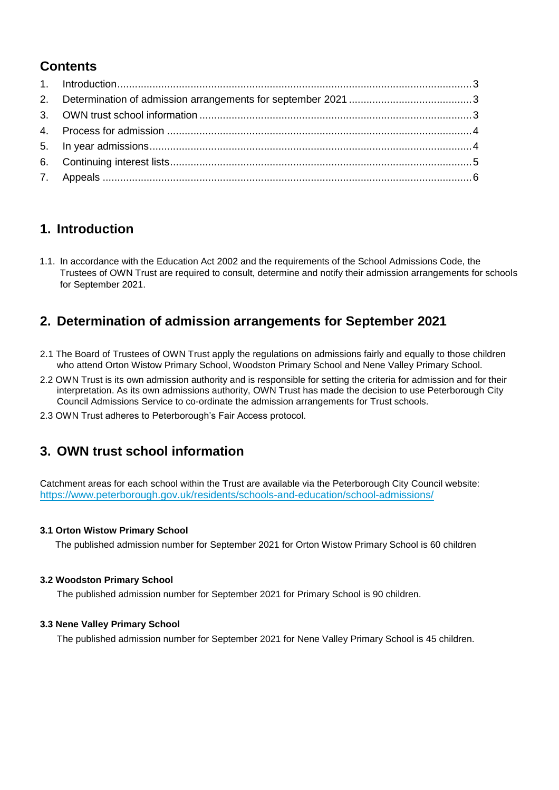## **Contents**

## **1. Introduction**

1.1. In accordance with the Education Act 2002 and the requirements of the School Admissions Code, the Trustees of OWN Trust are required to consult, determine and notify their admission arrangements for schools for September 2021.

## **2. Determination of admission arrangements for September 2021**

- 2.1 The Board of Trustees of OWN Trust apply the regulations on admissions fairly and equally to those children who attend Orton Wistow Primary School, Woodston Primary School and Nene Valley Primary School.
- 2.2 OWN Trust is its own admission authority and is responsible for setting the criteria for admission and for their interpretation. As its own admissions authority, OWN Trust has made the decision to use Peterborough City Council Admissions Service to co-ordinate the admission arrangements for Trust schools.
- 2.3 OWN Trust adheres to Peterborough's Fair Access protocol.

## **3. OWN trust school information**

Catchment areas for each school within the Trust are available via the Peterborough City Council website: <https://www.peterborough.gov.uk/residents/schools-and-education/school-admissions/>

#### **3.1 Orton Wistow Primary School**

The published admission number for September 2021 for Orton Wistow Primary School is 60 children

#### **3.2 Woodston Primary School**

The published admission number for September 2021 for Primary School is 90 children.

#### **3.3 Nene Valley Primary School**

The published admission number for September 2021 for Nene Valley Primary School is 45 children.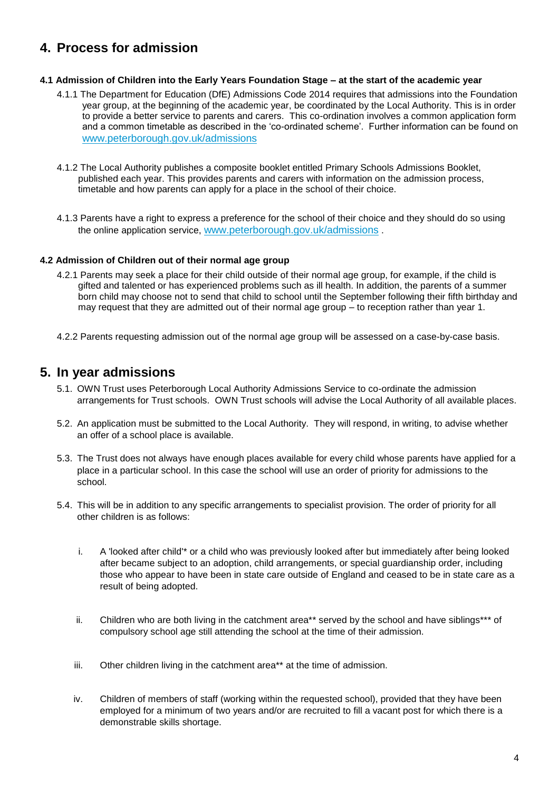## **4. Process for admission**

#### **4.1 Admission of Children into the Early Years Foundation Stage – at the start of the academic year**

- 4.1.1 The Department for Education (DfE) Admissions Code 2014 requires that admissions into the Foundation year group, at the beginning of the academic year, be coordinated by the Local Authority. This is in order to provide a better service to parents and carers. This co-ordination involves a common application form and a common timetable as described in the 'co-ordinated scheme'. Further information can be found on [www.peterborough.gov.uk/admissions](http://www.peterborough.gov.uk/admissions)
- 4.1.2 The Local Authority publishes a composite booklet entitled Primary Schools Admissions Booklet, published each year. This provides parents and carers with information on the admission process, timetable and how parents can apply for a place in the school of their choice.
- 4.1.3 Parents have a right to express a preference for the school of their choice and they should do so using the online application service, [www.peterborough.gov.uk/admissions](http://www.peterborough.gov.uk/admissions) .

#### **4.2 Admission of Children out of their normal age group**

- 4.2.1 Parents may seek a place for their child outside of their normal age group, for example, if the child is gifted and talented or has experienced problems such as ill health. In addition, the parents of a summer born child may choose not to send that child to school until the September following their fifth birthday and may request that they are admitted out of their normal age group – to reception rather than year 1.
- 4.2.2 Parents requesting admission out of the normal age group will be assessed on a case-by-case basis.

### **5. In year admissions**

- 5.1. OWN Trust uses Peterborough Local Authority Admissions Service to co-ordinate the admission arrangements for Trust schools. OWN Trust schools will advise the Local Authority of all available places.
- 5.2. An application must be submitted to the Local Authority. They will respond, in writing, to advise whether an offer of a school place is available.
- 5.3. The Trust does not always have enough places available for every child whose parents have applied for a place in a particular school. In this case the school will use an order of priority for admissions to the school.
- 5.4. This will be in addition to any specific arrangements to specialist provision. The order of priority for all other children is as follows:
	- i. A 'looked after child'\* or a child who was previously looked after but immediately after being looked after became subject to an adoption, child arrangements, or special guardianship order, including those who appear to have been in state care outside of England and ceased to be in state care as a result of being adopted.
	- ii. Children who are both living in the catchment area\*\* served by the school and have siblings\*\*\* of compulsory school age still attending the school at the time of their admission.
	- iii. Other children living in the catchment area\*\* at the time of admission.
	- iv. Children of members of staff (working within the requested school), provided that they have been employed for a minimum of two years and/or are recruited to fill a vacant post for which there is a demonstrable skills shortage.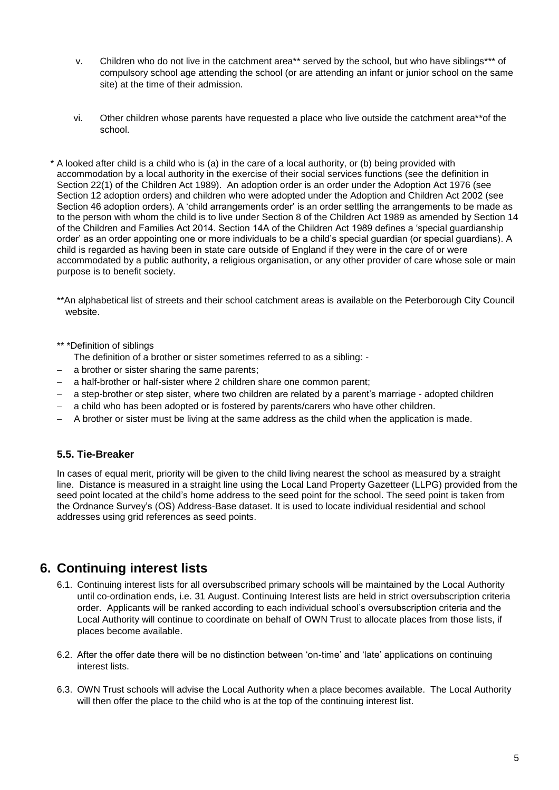- v. Children who do not live in the catchment area\*\* served by the school, but who have siblings\*\*\* of compulsory school age attending the school (or are attending an infant or junior school on the same site) at the time of their admission.
- vi. Other children whose parents have requested a place who live outside the catchment area\*\*of the school.
- \* A looked after child is a child who is (a) in the care of a local authority, or (b) being provided with accommodation by a local authority in the exercise of their social services functions (see the definition in Section 22(1) of the Children Act 1989). An adoption order is an order under the Adoption Act 1976 (see Section 12 adoption orders) and children who were adopted under the Adoption and Children Act 2002 (see Section 46 adoption orders). A 'child arrangements order' is an order settling the arrangements to be made as to the person with whom the child is to live under Section 8 of the Children Act 1989 as amended by Section 14 of the Children and Families Act 2014. Section 14A of the Children Act 1989 defines a 'special guardianship order' as an order appointing one or more individuals to be a child's special guardian (or special guardians). A child is regarded as having been in state care outside of England if they were in the care of or were accommodated by a public authority, a religious organisation, or any other provider of care whose sole or main purpose is to benefit society.
	- \*\*An alphabetical list of streets and their school catchment areas is available on the Peterborough City Council website.
	- \*\* \*Definition of siblings
		- The definition of a brother or sister sometimes referred to as a sibling: -
	- a brother or sister sharing the same parents;
	- a half-brother or half-sister where 2 children share one common parent;
	- − a step-brother or step sister, where two children are related by a parent's marriage adopted children
	- a child who has been adopted or is fostered by parents/carers who have other children.
	- − A brother or sister must be living at the same address as the child when the application is made.

#### **5.5. Tie-Breaker**

In cases of equal merit, priority will be given to the child living nearest the school as measured by a straight line. Distance is measured in a straight line using the Local Land Property Gazetteer (LLPG) provided from the seed point located at the child's home address to the seed point for the school. The seed point is taken from the Ordnance Survey's (OS) Address-Base dataset. It is used to locate individual residential and school addresses using grid references as seed points.

#### **6. Continuing interest lists**

- 6.1. Continuing interest lists for all oversubscribed primary schools will be maintained by the Local Authority until co-ordination ends, i.e. 31 August. Continuing Interest lists are held in strict oversubscription criteria order. Applicants will be ranked according to each individual school's oversubscription criteria and the Local Authority will continue to coordinate on behalf of OWN Trust to allocate places from those lists, if places become available.
- 6.2. After the offer date there will be no distinction between 'on-time' and 'late' applications on continuing interest lists.
- 6.3. OWN Trust schools will advise the Local Authority when a place becomes available. The Local Authority will then offer the place to the child who is at the top of the continuing interest list.